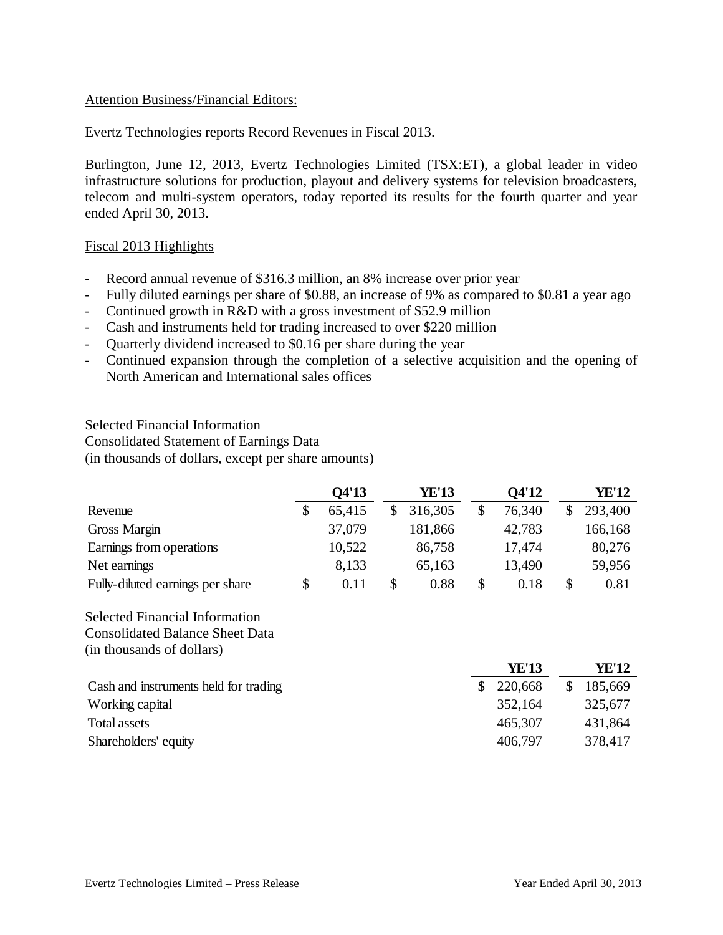# Attention Business/Financial Editors:

Evertz Technologies reports Record Revenues in Fiscal 2013.

Burlington, June 12, 2013, Evertz Technologies Limited (TSX:ET), a global leader in video infrastructure solutions for production, playout and delivery systems for television broadcasters, telecom and multi-system operators, today reported its results for the fourth quarter and year ended April 30, 2013.

## Fiscal 2013 Highlights

- Record annual revenue of \$316.3 million, an 8% increase over prior year
- Fully diluted earnings per share of \$0.88, an increase of 9% as compared to \$0.81 a year ago
- Continued growth in R&D with a gross investment of \$52.9 million
- Cash and instruments held for trading increased to over \$220 million
- Quarterly dividend increased to \$0.16 per share during the year
- Continued expansion through the completion of a selective acquisition and the opening of North American and International sales offices

Selected Financial Information Consolidated Statement of Earnings Data (in thousands of dollars, except per share amounts)

|                                  |   | Q4'13  | <b>YE'13</b> |   | Q4'12  |   | YE'12   |
|----------------------------------|---|--------|--------------|---|--------|---|---------|
| Revenue                          |   | 65,415 | 316,305      |   | 76,340 |   | 293,400 |
| Gross Margin                     |   | 37,079 | 181,866      |   | 42,783 |   | 166,168 |
| Earnings from operations         |   | 10,522 | 86,758       |   | 17,474 |   | 80,276  |
| Net earnings                     |   | 8,133  | 65,163       |   | 13,490 |   | 59,956  |
| Fully-diluted earnings per share | S | 0.11   | 0.88         | S | 0.18   | S | 0.81    |

Selected Financial Information Consolidated Balance Sheet Data (in thousands of dollars)

|                                       | <b>YE'13</b> | YE'12   |
|---------------------------------------|--------------|---------|
| Cash and instruments held for trading | \$220,668    | 185,669 |
| Working capital                       | 352,164      | 325,677 |
| Total assets                          | 465,307      | 431,864 |
| Shareholders' equity                  | 406,797      | 378,417 |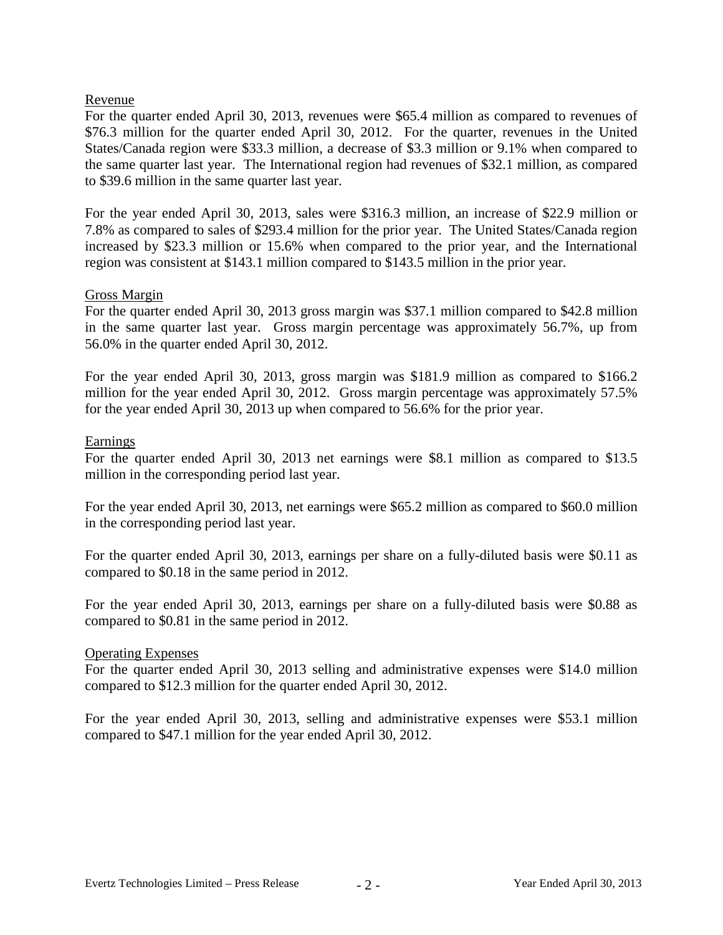# Revenue

For the quarter ended April 30, 2013, revenues were \$65.4 million as compared to revenues of \$76.3 million for the quarter ended April 30, 2012. For the quarter, revenues in the United States/Canada region were \$33.3 million, a decrease of \$3.3 million or 9.1% when compared to the same quarter last year. The International region had revenues of \$32.1 million, as compared to \$39.6 million in the same quarter last year.

For the year ended April 30, 2013, sales were \$316.3 million, an increase of \$22.9 million or 7.8% as compared to sales of \$293.4 million for the prior year. The United States/Canada region increased by \$23.3 million or 15.6% when compared to the prior year, and the International region was consistent at \$143.1 million compared to \$143.5 million in the prior year.

# Gross Margin

For the quarter ended April 30, 2013 gross margin was \$37.1 million compared to \$42.8 million in the same quarter last year. Gross margin percentage was approximately 56.7%, up from 56.0% in the quarter ended April 30, 2012.

For the year ended April 30, 2013, gross margin was \$181.9 million as compared to \$166.2 million for the year ended April 30, 2012. Gross margin percentage was approximately 57.5% for the year ended April 30, 2013 up when compared to 56.6% for the prior year.

## **Earnings**

For the quarter ended April 30, 2013 net earnings were \$8.1 million as compared to \$13.5 million in the corresponding period last year.

For the year ended April 30, 2013, net earnings were \$65.2 million as compared to \$60.0 million in the corresponding period last year.

For the quarter ended April 30, 2013, earnings per share on a fully-diluted basis were \$0.11 as compared to \$0.18 in the same period in 2012.

For the year ended April 30, 2013, earnings per share on a fully-diluted basis were \$0.88 as compared to \$0.81 in the same period in 2012.

## Operating Expenses

For the quarter ended April 30, 2013 selling and administrative expenses were \$14.0 million compared to \$12.3 million for the quarter ended April 30, 2012.

For the year ended April 30, 2013, selling and administrative expenses were \$53.1 million compared to \$47.1 million for the year ended April 30, 2012.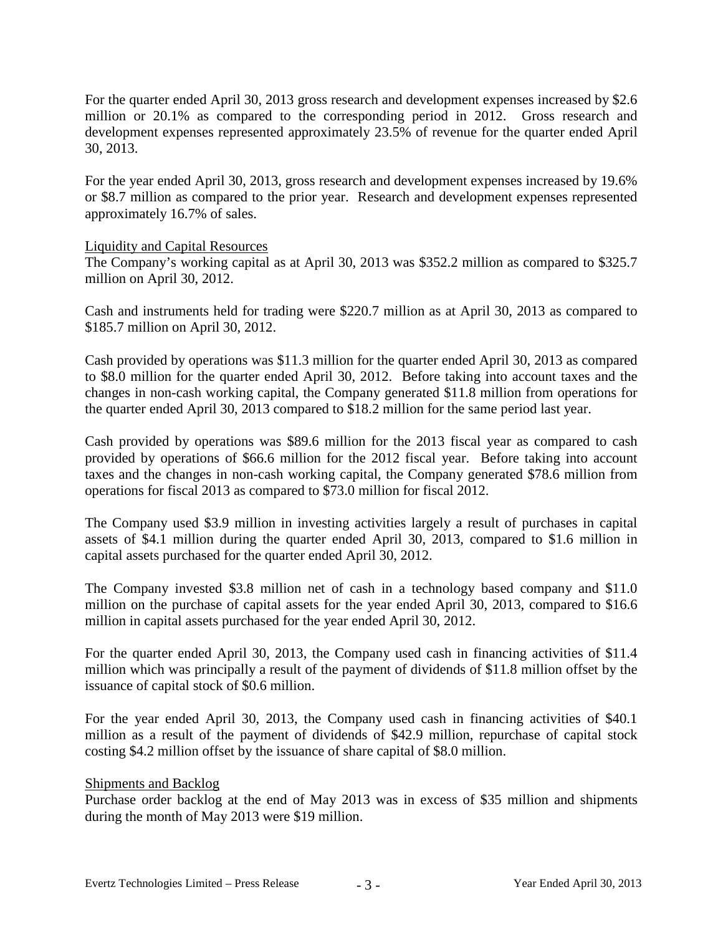For the quarter ended April 30, 2013 gross research and development expenses increased by \$2.6 million or 20.1% as compared to the corresponding period in 2012. Gross research and development expenses represented approximately 23.5% of revenue for the quarter ended April 30, 2013.

For the year ended April 30, 2013, gross research and development expenses increased by 19.6% or \$8.7 million as compared to the prior year. Research and development expenses represented approximately 16.7% of sales.

## Liquidity and Capital Resources

The Company's working capital as at April 30, 2013 was \$352.2 million as compared to \$325.7 million on April 30, 2012.

Cash and instruments held for trading were \$220.7 million as at April 30, 2013 as compared to \$185.7 million on April 30, 2012.

Cash provided by operations was \$11.3 million for the quarter ended April 30, 2013 as compared to \$8.0 million for the quarter ended April 30, 2012. Before taking into account taxes and the changes in non-cash working capital, the Company generated \$11.8 million from operations for the quarter ended April 30, 2013 compared to \$18.2 million for the same period last year.

Cash provided by operations was \$89.6 million for the 2013 fiscal year as compared to cash provided by operations of \$66.6 million for the 2012 fiscal year. Before taking into account taxes and the changes in non-cash working capital, the Company generated \$78.6 million from operations for fiscal 2013 as compared to \$73.0 million for fiscal 2012.

The Company used \$3.9 million in investing activities largely a result of purchases in capital assets of \$4.1 million during the quarter ended April 30, 2013, compared to \$1.6 million in capital assets purchased for the quarter ended April 30, 2012.

The Company invested \$3.8 million net of cash in a technology based company and \$11.0 million on the purchase of capital assets for the year ended April 30, 2013, compared to \$16.6 million in capital assets purchased for the year ended April 30, 2012.

For the quarter ended April 30, 2013, the Company used cash in financing activities of \$11.4 million which was principally a result of the payment of dividends of \$11.8 million offset by the issuance of capital stock of \$0.6 million.

For the year ended April 30, 2013, the Company used cash in financing activities of \$40.1 million as a result of the payment of dividends of \$42.9 million, repurchase of capital stock costing \$4.2 million offset by the issuance of share capital of \$8.0 million.

#### Shipments and Backlog

Purchase order backlog at the end of May 2013 was in excess of \$35 million and shipments during the month of May 2013 were \$19 million.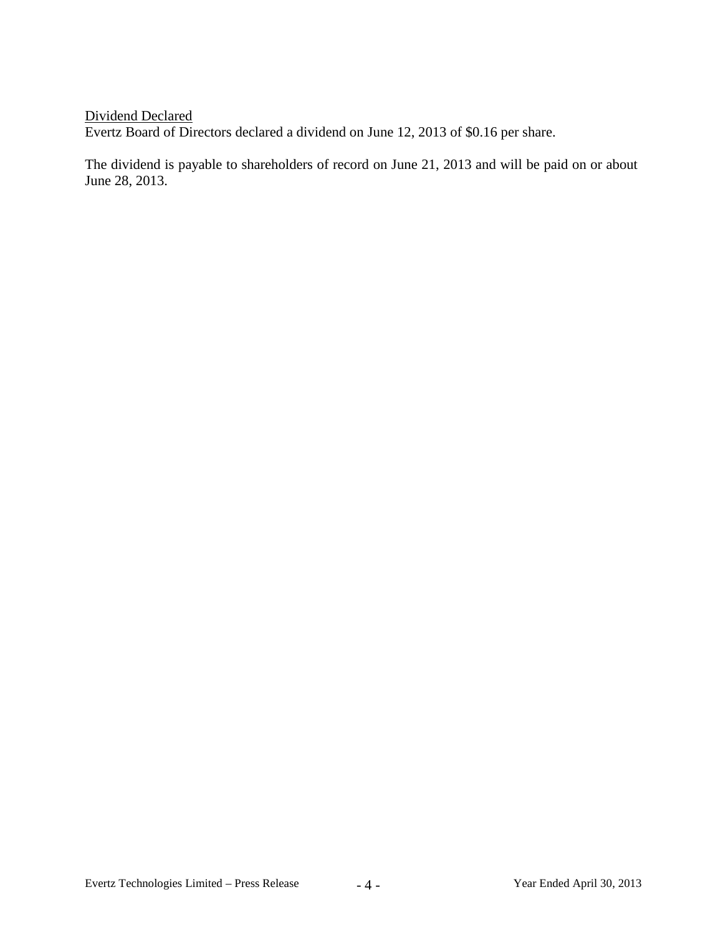Dividend Declared Evertz Board of Directors declared a dividend on June 12, 2013 of \$0.16 per share.

The dividend is payable to shareholders of record on June 21, 2013 and will be paid on or about June 28, 2013.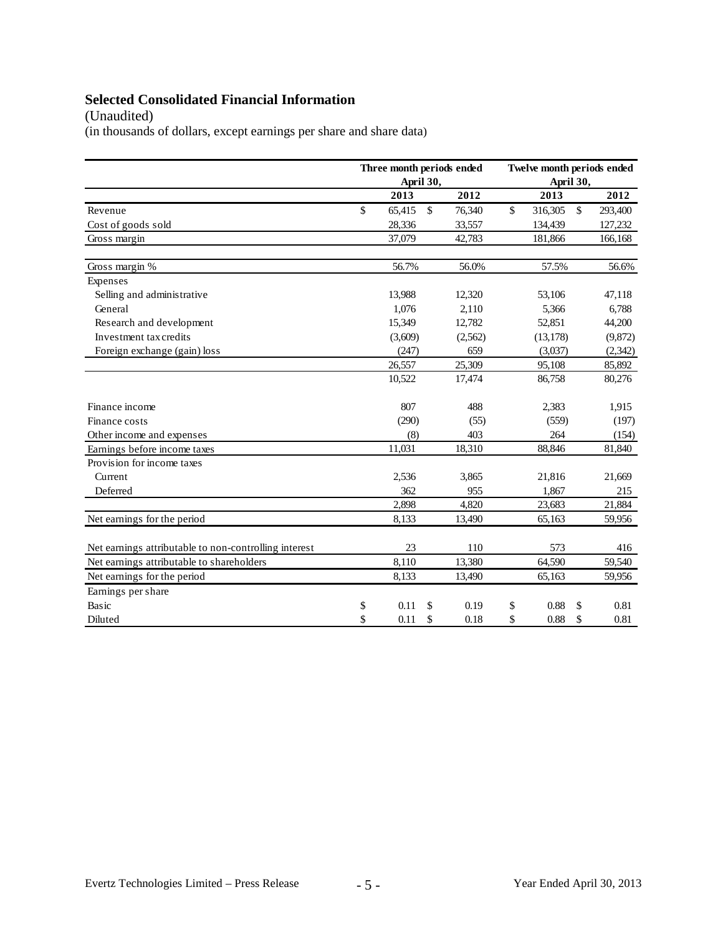# **Selected Consolidated Financial Information**

(Unaudited)

(in thousands of dollars, except earnings per share and share data)

|                                                       |    | Three month periods ended<br>April 30, |              |         | Twelve month periods ended |           |              |          |  |
|-------------------------------------------------------|----|----------------------------------------|--------------|---------|----------------------------|-----------|--------------|----------|--|
|                                                       |    |                                        |              |         | April 30,                  |           |              |          |  |
|                                                       |    | 2013                                   |              | 2012    |                            | 2013      |              | 2012     |  |
| Revenue                                               | \$ | 65,415                                 | $\mathbb{S}$ | 76,340  | \$                         | 316,305   | $\mathbb{S}$ | 293,400  |  |
| Cost of goods sold                                    |    | 28,336                                 |              | 33,557  |                            | 134,439   |              | 127,232  |  |
| Gross margin                                          |    | 37,079                                 |              | 42,783  |                            | 181,866   |              | 166,168  |  |
| Gross margin %                                        |    | 56.7%                                  |              | 56.0%   |                            | 57.5%     |              | 56.6%    |  |
| Expenses                                              |    |                                        |              |         |                            |           |              |          |  |
| Selling and administrative                            |    | 13,988                                 |              | 12,320  |                            | 53,106    |              | 47,118   |  |
| General                                               |    | 1,076                                  |              | 2,110   |                            | 5,366     |              | 6,788    |  |
| Research and development                              |    | 15,349                                 |              | 12,782  |                            | 52,851    |              | 44,200   |  |
| Investment tax credits                                |    | (3,609)                                |              | (2,562) |                            | (13, 178) |              | (9,872)  |  |
| Foreign exchange (gain) loss                          |    | (247)                                  |              | 659     |                            | (3,037)   |              | (2, 342) |  |
|                                                       |    | 26,557                                 |              | 25,309  |                            | 95,108    |              | 85,892   |  |
|                                                       |    | 10,522                                 |              | 17,474  |                            | 86,758    |              | 80,276   |  |
| Finance income                                        |    | 807                                    |              | 488     |                            | 2,383     |              | 1,915    |  |
| Finance costs                                         |    | (290)                                  |              | (55)    |                            | (559)     |              | (197)    |  |
| Other income and expenses                             |    | (8)                                    |              | 403     |                            | 264       |              | (154)    |  |
| Earnings before income taxes                          |    | 11,031                                 |              | 18,310  |                            | 88,846    |              | 81,840   |  |
| Provision for income taxes                            |    |                                        |              |         |                            |           |              |          |  |
| Current                                               |    | 2,536                                  |              | 3,865   |                            | 21,816    |              | 21,669   |  |
| Deferred                                              |    | 362                                    |              | 955     |                            | 1,867     |              | 215      |  |
|                                                       |    | 2,898                                  |              | 4,820   |                            | 23,683    |              | 21,884   |  |
| Net earnings for the period                           |    | 8,133                                  |              | 13,490  |                            | 65,163    |              | 59,956   |  |
| Net earnings attributable to non-controlling interest |    | 23                                     |              | 110     |                            | 573       |              | 416      |  |
| Net earnings attributable to shareholders             |    | 8,110                                  |              | 13,380  |                            | 64,590    |              | 59,540   |  |
| Net earnings for the period                           |    | 8,133                                  |              | 13,490  |                            | 65,163    |              | 59,956   |  |
| Earnings per share                                    |    |                                        |              |         |                            |           |              |          |  |
| Basic                                                 | \$ | 0.11                                   | \$           | 0.19    | \$                         | 0.88      | \$.          | 0.81     |  |
| Diluted                                               | \$ | 0.11                                   | \$           | 0.18    | \$                         | 0.88      | \$           | 0.81     |  |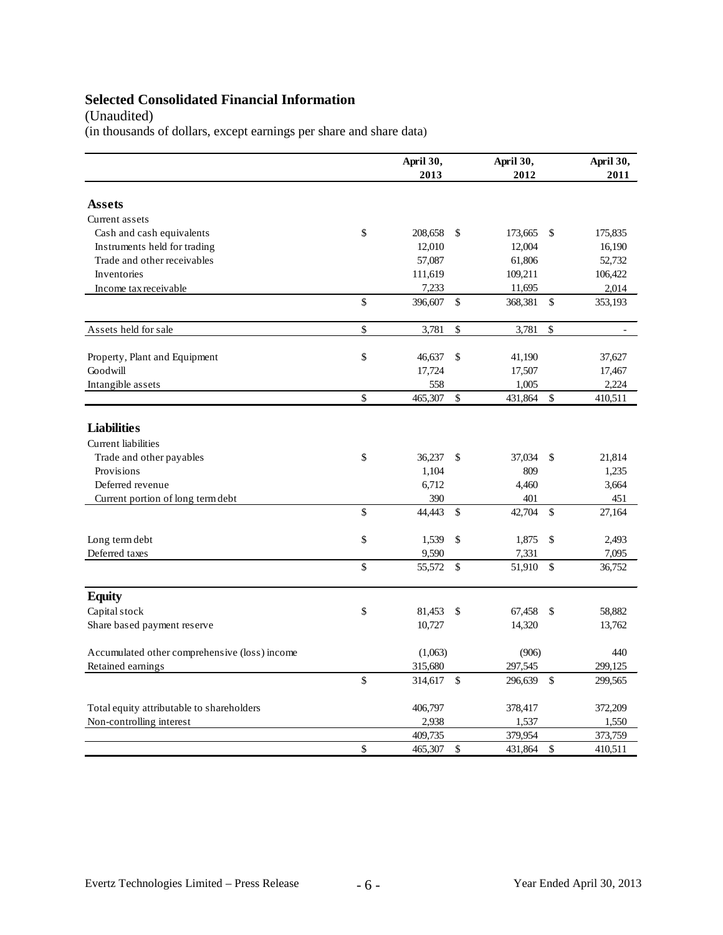# **Selected Consolidated Financial Information**

# (Unaudited)

(in thousands of dollars, except earnings per share and share data)

|                                                  | April 30,<br>2013 |              | April 30,<br>2012 |               | April 30,<br>2011 |
|--------------------------------------------------|-------------------|--------------|-------------------|---------------|-------------------|
| Assets                                           |                   |              |                   |               |                   |
| Current assets                                   |                   |              |                   |               |                   |
| Cash and cash equivalents                        | \$<br>208,658     | \$           | 173,665           | \$            | 175,835           |
| Instruments held for trading                     | 12,010            |              | 12,004            |               | 16,190            |
| Trade and other receivables                      | 57,087            |              | 61,806            |               | 52,732            |
| Inventories                                      | 111,619           |              | 109,211           |               | 106,422           |
| Income tax receivable                            | 7,233             |              | 11,695            |               | 2,014             |
|                                                  | \$<br>396,607     | \$           | 368,381           | \$            | 353,193           |
| Assets held for sale                             | \$<br>3,781       | \$           | 3,781             | \$            |                   |
| Property, Plant and Equipment                    | \$<br>46,637      | \$           | 41,190            |               | 37,627            |
| Goodwill                                         | 17,724            |              | 17,507            |               | 17,467            |
| Intangible assets                                | 558               |              | 1,005             |               | 2,224             |
|                                                  | \$<br>465,307     | $\mathbb{S}$ | 431,864           | $\mathbb{S}$  | 410,511           |
| <b>Liabilities</b><br><b>Current</b> liabilities |                   |              |                   |               |                   |
| Trade and other payables                         | \$<br>36,237      | \$           | 37,034            | \$            | 21,814            |
| Provisions                                       | 1,104             |              | 809               |               | 1,235             |
| Deferred revenue                                 | 6,712             |              | 4,460             |               | 3,664             |
| Current portion of long term debt                | 390               |              | 401               |               | 451               |
|                                                  | \$<br>44.443      | \$.          | 42,704            | $\mathbb{S}$  | 27,164            |
| Long term debt                                   | \$<br>1,539       | \$           | 1,875             | \$            | 2,493             |
| Deferred taxes                                   | 9,590             |              | 7,331             |               | 7,095             |
|                                                  | \$<br>55,572      | \$           | 51,910            | \$            | 36,752            |
| <b>Equity</b>                                    |                   |              |                   |               |                   |
| Capital stock                                    | \$<br>81,453      | \$           | 67,458            | \$            | 58.882            |
| Share based payment reserve                      | 10,727            |              | 14,320            |               | 13,762            |
| Accumulated other comprehensive (loss) income    | (1,063)           |              | (906)             |               | 440               |
| Retained earnings                                | 315,680           |              | 297,545           |               | 299,125           |
|                                                  | \$<br>314,617     | $\mathbb{S}$ | 296,639           | $\mathcal{S}$ | 299,565           |
| Total equity attributable to shareholders        | 406,797           |              | 378,417           |               | 372,209           |
| Non-controlling interest                         | 2,938             |              | 1,537             |               | 1,550             |
|                                                  | 409,735           |              | 379,954           |               | 373,759           |
|                                                  | \$<br>465,307     | \$           | 431,864           | \$            | 410,511           |